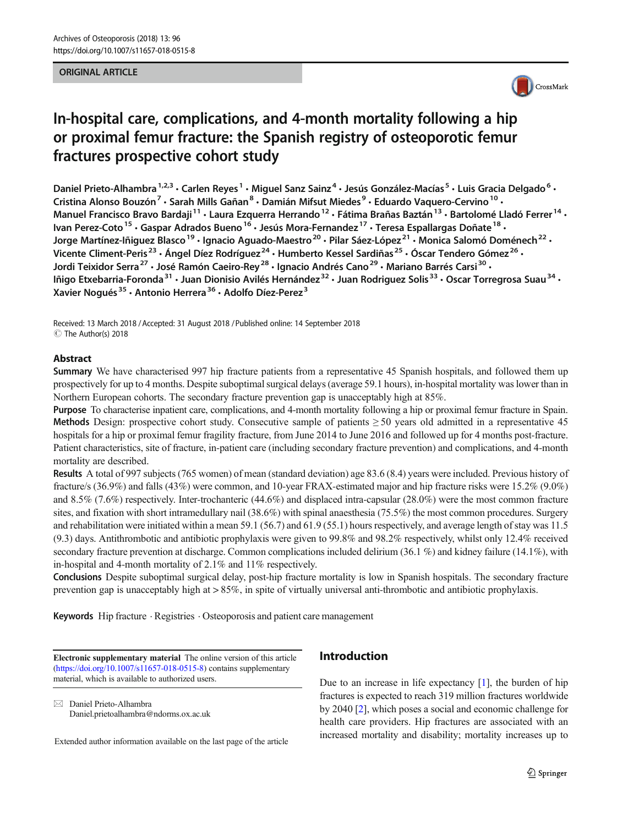### ORIGINAL ARTICLE



# In-hospital care, complications, and 4-month mortality following a hip or proximal femur fracture: the Spanish registry of osteoporotic femur fractures prospective cohort study

Daniel Prieto-Alhambra<sup>1,2,3</sup> • Carlen Reyes<sup>1</sup> • Miguel Sanz Sainz<sup>4</sup> • Jesús González-Macías<sup>5</sup> • Luis Gracia Delgado<sup>6</sup> • Cristina Alonso Bouzón<sup>7</sup> • Sarah Mills Gañan<sup>8</sup> • Damián Mifsut Miedes<sup>9</sup> • Eduardo Vaquero-Cervino<sup>10</sup> • Manuel Francisco Bravo Bardaji<sup>11</sup> · Laura Ezquerra Herrando<sup>12</sup> · Fátima Brañas Baztán<sup>13</sup> · Bartolomé Lladó Ferrer<sup>14</sup> · Ivan Perez-Coto<sup>15</sup> • Gaspar Adrados Bueno<sup>16</sup> • Jesús Mora-Fernandez<sup>17</sup> • Teresa Espallargas Doñate<sup>18</sup> • Jorge Martínez-Iñiguez Blasco<sup>19</sup> · Ignacio Aguado-Maestro<sup>20</sup> · Pilar Sáez-López<sup>21</sup> · Monica Salomó Doménech<sup>22</sup> · Vicente Climent-Peris<sup>23</sup> · Ángel Díez Rodríguez<sup>24</sup> · Humberto Kessel Sardiñas<sup>25</sup> · Óscar Tendero Gómez<sup>26</sup> · Jordi Teixidor Serra<sup>27</sup> • José Ramón Caeiro-Rey<sup>28</sup> • Ignacio Andrés Cano<sup>29</sup> • Mariano Barrés Carsi<sup>30</sup> • Iñigo Etxebarria-Foronda<sup>31</sup> · Juan Dionisio Avilés Hernández<sup>32</sup> · Juan Rodriguez Solis<sup>33</sup> · Oscar Torregrosa Suau<sup>34</sup> · Xavier Nogués<sup>35</sup> · Antonio Herrera<sup>36</sup> · Adolfo Díez-Perez<sup>3</sup>

Received: 13 March 2018 /Accepted: 31 August 2018 /Published online: 14 September 2018  $\circledcirc$  The Author(s) 2018

#### Abstract

Summary We have characterised 997 hip fracture patients from a representative 45 Spanish hospitals, and followed them up prospectively for up to 4 months. Despite suboptimal surgical delays (average 59.1 hours), in-hospital mortality was lower than in Northern European cohorts. The secondary fracture prevention gap is unacceptably high at 85%.

Purpose To characterise inpatient care, complications, and 4-month mortality following a hip or proximal femur fracture in Spain. Methods Design: prospective cohort study. Consecutive sample of patients  $\geq$  50 years old admitted in a representative 45 hospitals for a hip or proximal femur fragility fracture, from June 2014 to June 2016 and followed up for 4 months post-fracture. Patient characteristics, site of fracture, in-patient care (including secondary fracture prevention) and complications, and 4-month mortality are described.

Results A total of 997 subjects (765 women) of mean (standard deviation) age 83.6 (8.4) years were included. Previous history of fracture/s (36.9%) and falls (43%) were common, and 10-year FRAX-estimated major and hip fracture risks were 15.2% (9.0%) and 8.5% (7.6%) respectively. Inter-trochanteric (44.6%) and displaced intra-capsular (28.0%) were the most common fracture sites, and fixation with short intramedullary nail (38.6%) with spinal anaesthesia (75.5%) the most common procedures. Surgery and rehabilitation were initiated within a mean 59.1 (56.7) and 61.9 (55.1) hours respectively, and average length of stay was 11.5 (9.3) days. Antithrombotic and antibiotic prophylaxis were given to 99.8% and 98.2% respectively, whilst only 12.4% received secondary fracture prevention at discharge. Common complications included delirium (36.1 %) and kidney failure (14.1%), with in-hospital and 4-month mortality of 2.1% and 11% respectively.

Conclusions Despite suboptimal surgical delay, post-hip fracture mortality is low in Spanish hospitals. The secondary fracture prevention gap is unacceptably high at > 85%, in spite of virtually universal anti-thrombotic and antibiotic prophylaxis.

Keywords Hip fracture · Registries · Osteoporosis and patient care management

Electronic supplementary material The online version of this article (<https://doi.org/10.1007/s11657-018-0515-8>) contains supplementary material, which is available to authorized users.

 $\boxtimes$  Daniel Prieto-Alhambra [Daniel.prietoalhambra@ndorms.ox.ac.uk](mailto:Daniel.prietoalhambra@ndorms.ox.ac.uk)

Extended author information available on the last page of the article

## Introduction

Due to an increase in life expectancy [\[1\]](#page-8-0), the burden of hip fractures is expected to reach 319 million fractures worldwide by 2040 [\[2](#page-8-0)], which poses a social and economic challenge for health care providers. Hip fractures are associated with an increased mortality and disability; mortality increases up to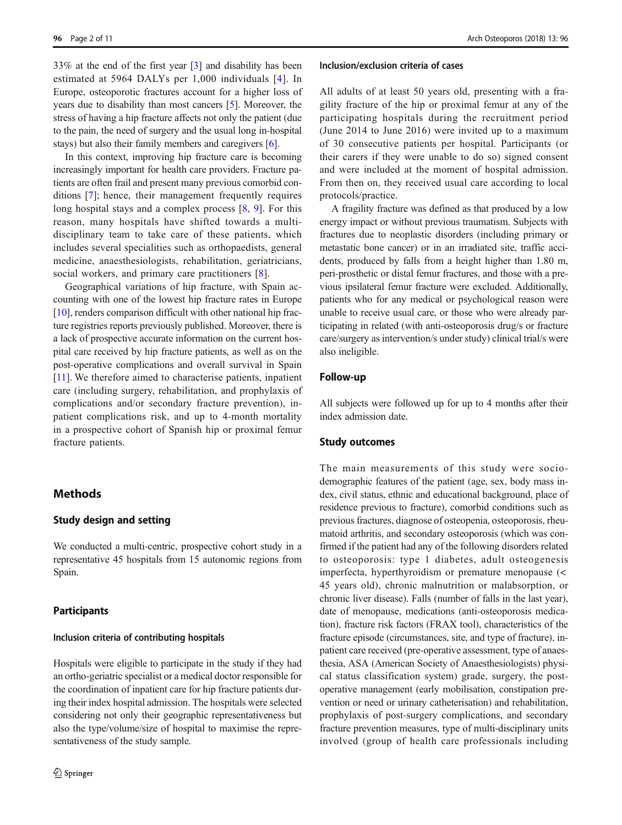33% at the end of the first year [\[3](#page-8-0)] and disability has been estimated at 5964 DALYs per 1,000 individuals [\[4\]](#page-8-0). In Europe, osteoporotic fractures account for a higher loss of years due to disability than most cancers [[5\]](#page-8-0). Moreover, the stress of having a hip fracture affects not only the patient (due to the pain, the need of surgery and the usual long in-hospital stays) but also their family members and caregivers [\[6](#page-8-0)].

In this context, improving hip fracture care is becoming increasingly important for health care providers. Fracture patients are often frail and present many previous comorbid conditions [[7](#page-8-0)]; hence, their management frequently requires long hospital stays and a complex process [[8](#page-8-0), [9](#page-8-0)]. For this reason, many hospitals have shifted towards a multidisciplinary team to take care of these patients, which includes several specialities such as orthopaedists, general medicine, anaesthesiologists, rehabilitation, geriatricians, social workers, and primary care practitioners [[8\]](#page-8-0).

Geographical variations of hip fracture, with Spain accounting with one of the lowest hip fracture rates in Europe [\[10\]](#page-8-0), renders comparison difficult with other national hip fracture registries reports previously published. Moreover, there is a lack of prospective accurate information on the current hospital care received by hip fracture patients, as well as on the post-operative complications and overall survival in Spain [\[11\]](#page-8-0). We therefore aimed to characterise patients, inpatient care (including surgery, rehabilitation, and prophylaxis of complications and/or secondary fracture prevention), inpatient complications risk, and up to 4-month mortality in a prospective cohort of Spanish hip or proximal femur fracture patients.

## Methods

### Study design and setting

We conducted a multi-centric, prospective cohort study in a representative 45 hospitals from 15 autonomic regions from Spain.

#### **Participants**

#### Inclusion criteria of contributing hospitals

Hospitals were eligible to participate in the study if they had an ortho-geriatric specialist or a medical doctor responsible for the coordination of inpatient care for hip fracture patients during their index hospital admission. The hospitals were selected considering not only their geographic representativeness but also the type/volume/size of hospital to maximise the representativeness of the study sample.

#### Inclusion/exclusion criteria of cases

All adults of at least 50 years old, presenting with a fragility fracture of the hip or proximal femur at any of the participating hospitals during the recruitment period (June 2014 to June 2016) were invited up to a maximum of 30 consecutive patients per hospital. Participants (or their carers if they were unable to do so) signed consent and were included at the moment of hospital admission. From then on, they received usual care according to local protocols/practice.

A fragility fracture was defined as that produced by a low energy impact or without previous traumatism. Subjects with fractures due to neoplastic disorders (including primary or metastatic bone cancer) or in an irradiated site, traffic accidents, produced by falls from a height higher than 1.80 m, peri-prosthetic or distal femur fractures, and those with a previous ipsilateral femur fracture were excluded. Additionally, patients who for any medical or psychological reason were unable to receive usual care, or those who were already participating in related (with anti-osteoporosis drug/s or fracture care/surgery as intervention/s under study) clinical trial/s were also ineligible.

#### Follow-up

All subjects were followed up for up to 4 months after their index admission date.

#### Study outcomes

The main measurements of this study were sociodemographic features of the patient (age, sex, body mass index, civil status, ethnic and educational background, place of residence previous to fracture), comorbid conditions such as previous fractures, diagnose of osteopenia, osteoporosis, rheumatoid arthritis, and secondary osteoporosis (which was confirmed if the patient had any of the following disorders related to osteoporosis: type 1 diabetes, adult osteogenesis imperfecta, hyperthyroidism or premature menopause (< 45 years old), chronic malnutrition or malabsorption, or chronic liver disease). Falls (number of falls in the last year), date of menopause, medications (anti-osteoporosis medication), fracture risk factors (FRAX tool), characteristics of the fracture episode (circumstances, site, and type of fracture), inpatient care received (pre-operative assessment, type of anaesthesia, ASA (American Society of Anaesthesiologists) physical status classification system) grade, surgery, the postoperative management (early mobilisation, constipation prevention or need or urinary catheterisation) and rehabilitation, prophylaxis of post-surgery complications, and secondary fracture prevention measures, type of multi-disciplinary units involved (group of health care professionals including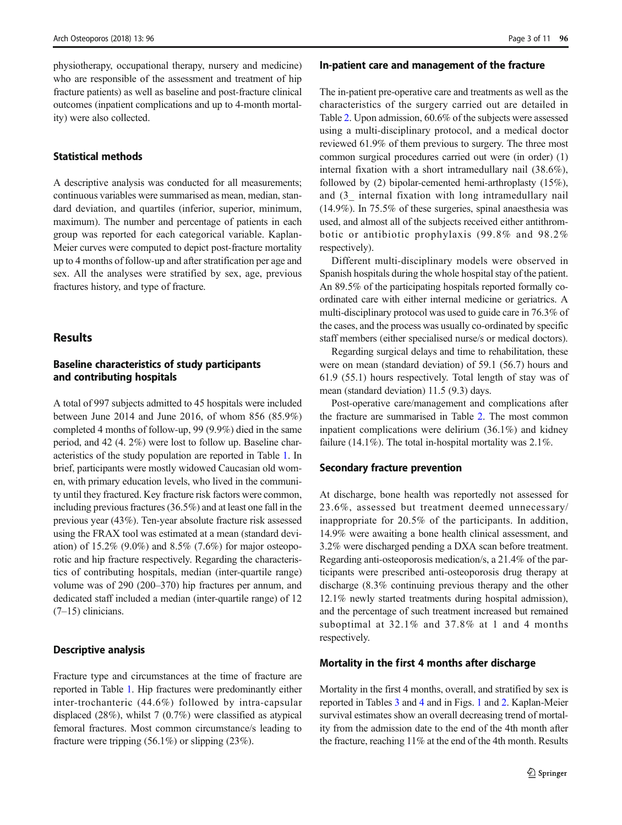physiotherapy, occupational therapy, nursery and medicine) who are responsible of the assessment and treatment of hip fracture patients) as well as baseline and post-fracture clinical outcomes (inpatient complications and up to 4-month mortality) were also collected.

#### Statistical methods

A descriptive analysis was conducted for all measurements; continuous variables were summarised as mean, median, standard deviation, and quartiles (inferior, superior, minimum, maximum). The number and percentage of patients in each group was reported for each categorical variable. Kaplan-Meier curves were computed to depict post-fracture mortality up to 4 months of follow-up and after stratification per age and sex. All the analyses were stratified by sex, age, previous fractures history, and type of fracture.

## Results

## Baseline characteristics of study participants and contributing hospitals

A total of 997 subjects admitted to 45 hospitals were included between June 2014 and June 2016, of whom 856 (85.9%) completed 4 months of follow-up, 99 (9.9%) died in the same period, and 42 (4. 2%) were lost to follow up. Baseline characteristics of the study population are reported in Table [1.](#page-3-0) In brief, participants were mostly widowed Caucasian old women, with primary education levels, who lived in the community until they fractured. Key fracture risk factors were common, including previous fractures (36.5%) and at least one fall in the previous year (43%). Ten-year absolute fracture risk assessed using the FRAX tool was estimated at a mean (standard deviation) of 15.2% (9.0%) and 8.5% (7.6%) for major osteoporotic and hip fracture respectively. Regarding the characteristics of contributing hospitals, median (inter-quartile range) volume was of 290 (200–370) hip fractures per annum, and dedicated staff included a median (inter-quartile range) of 12 (7–15) clinicians.

#### Descriptive analysis

Fracture type and circumstances at the time of fracture are reported in Table [1](#page-3-0). Hip fractures were predominantly either inter-trochanteric (44.6%) followed by intra-capsular displaced (28%), whilst 7 (0.7%) were classified as atypical femoral fractures. Most common circumstance/s leading to fracture were tripping  $(56.1\%)$  or slipping  $(23\%).$ 

#### In-patient care and management of the fracture

The in-patient pre-operative care and treatments as well as the characteristics of the surgery carried out are detailed in Table [2](#page-5-0). Upon admission, 60.6% of the subjects were assessed using a multi-disciplinary protocol, and a medical doctor reviewed 61.9% of them previous to surgery. The three most common surgical procedures carried out were (in order) (1) internal fixation with a short intramedullary nail (38.6%), followed by (2) bipolar-cemented hemi-arthroplasty (15%), and (3\_ internal fixation with long intramedullary nail (14.9%). In 75.5% of these surgeries, spinal anaesthesia was used, and almost all of the subjects received either antithrombotic or antibiotic prophylaxis (99.8% and 98.2% respectively).

Different multi-disciplinary models were observed in Spanish hospitals during the whole hospital stay of the patient. An 89.5% of the participating hospitals reported formally coordinated care with either internal medicine or geriatrics. A multi-disciplinary protocol was used to guide care in 76.3% of the cases, and the process was usually co-ordinated by specific staff members (either specialised nurse/s or medical doctors).

Regarding surgical delays and time to rehabilitation, these were on mean (standard deviation) of 59.1 (56.7) hours and 61.9 (55.1) hours respectively. Total length of stay was of mean (standard deviation) 11.5 (9.3) days.

Post-operative care/management and complications after the fracture are summarised in Table [2](#page-5-0). The most common inpatient complications were delirium (36.1%) and kidney failure (14.1%). The total in-hospital mortality was 2.1%.

### Secondary fracture prevention

At discharge, bone health was reportedly not assessed for 23.6%, assessed but treatment deemed unnecessary/ inappropriate for 20.5% of the participants. In addition, 14.9% were awaiting a bone health clinical assessment, and 3.2% were discharged pending a DXA scan before treatment. Regarding anti-osteoporosis medication/s, a 21.4% of the participants were prescribed anti-osteoporosis drug therapy at discharge (8.3% continuing previous therapy and the other 12.1% newly started treatments during hospital admission), and the percentage of such treatment increased but remained suboptimal at 32.1% and 37.8% at 1 and 4 months respectively.

#### Mortality in the first 4 months after discharge

Mortality in the first 4 months, overall, and stratified by sex is reported in Tables [3](#page-6-0) and [4](#page-6-0) and in Figs. [1](#page-7-0) and [2](#page-7-0). Kaplan-Meier survival estimates show an overall decreasing trend of mortality from the admission date to the end of the 4th month after the fracture, reaching 11% at the end of the 4th month. Results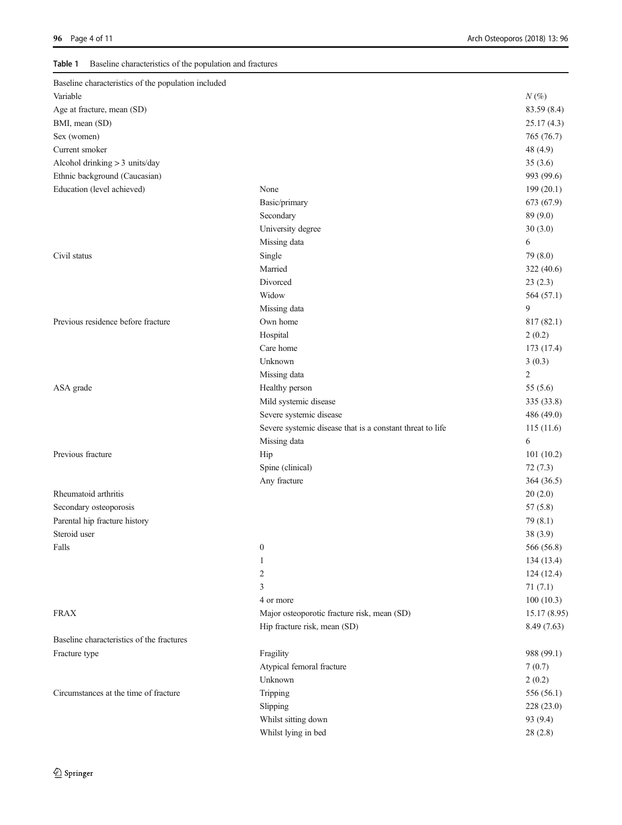## <span id="page-3-0"></span>Table 1 Baseline characteristics of the population and fractures

| Baseline characteristics of the population included |                                                           |              |
|-----------------------------------------------------|-----------------------------------------------------------|--------------|
| Variable                                            |                                                           | $N(\%)$      |
| Age at fracture, mean (SD)                          |                                                           | 83.59 (8.4)  |
| BMI, mean (SD)                                      |                                                           | 25.17(4.3)   |
| Sex (women)                                         |                                                           | 765 (76.7)   |
| Current smoker                                      |                                                           | 48 (4.9)     |
| Alcohol drinking > 3 units/day                      |                                                           | 35(3.6)      |
| Ethnic background (Caucasian)                       |                                                           | 993 (99.6)   |
| Education (level achieved)                          | None                                                      | 199(20.1)    |
|                                                     | Basic/primary                                             | 673 (67.9)   |
|                                                     | Secondary                                                 | 89 (9.0)     |
|                                                     | University degree                                         | 30(3.0)      |
|                                                     | Missing data                                              | 6            |
| Civil status                                        | Single                                                    | 79 (8.0)     |
|                                                     | Married                                                   | 322 (40.6)   |
|                                                     | Divorced                                                  | 23(2.3)      |
|                                                     | Widow                                                     | 564 (57.1)   |
|                                                     | Missing data                                              | 9            |
| Previous residence before fracture                  | Own home                                                  | 817 (82.1)   |
|                                                     | Hospital                                                  | 2(0.2)       |
|                                                     | Care home                                                 | 173 (17.4)   |
|                                                     | Unknown                                                   | 3(0.3)       |
|                                                     | Missing data                                              | 2            |
| ASA grade                                           | Healthy person                                            | 55(5.6)      |
|                                                     | Mild systemic disease                                     | 335 (33.8)   |
|                                                     | Severe systemic disease                                   | 486 (49.0)   |
|                                                     | Severe systemic disease that is a constant threat to life | 115(11.6)    |
|                                                     | Missing data                                              | 6            |
| Previous fracture                                   | Hip                                                       | 101(10.2)    |
|                                                     | Spine (clinical)                                          | 72(7.3)      |
|                                                     | Any fracture                                              | 364 (36.5)   |
| Rheumatoid arthritis                                |                                                           | 20(2.0)      |
| Secondary osteoporosis                              |                                                           | 57(5.8)      |
| Parental hip fracture history                       |                                                           | 79 (8.1)     |
| Steroid user                                        |                                                           | 38 (3.9)     |
| Falls                                               | $\boldsymbol{0}$                                          | 566 (56.8)   |
|                                                     | 1                                                         | 134 (13.4)   |
|                                                     | 2                                                         | 124(12.4)    |
|                                                     | 3                                                         | 71(7.1)      |
|                                                     | 4 or more                                                 | 100(10.3)    |
| <b>FRAX</b>                                         | Major osteoporotic fracture risk, mean (SD)               | 15.17 (8.95) |
|                                                     | Hip fracture risk, mean (SD)                              | 8.49(7.63)   |
| Baseline characteristics of the fractures           |                                                           |              |
| Fracture type                                       | Fragility                                                 | 988 (99.1)   |
|                                                     | Atypical femoral fracture                                 | 7(0.7)       |
|                                                     | Unknown                                                   | 2(0.2)       |
| Circumstances at the time of fracture               | Tripping                                                  | 556 (56.1)   |
|                                                     | Slipping                                                  | 228 (23.0)   |
|                                                     | Whilst sitting down                                       | 93 (9.4)     |
|                                                     | Whilst lying in bed                                       | 28(2.8)      |
|                                                     |                                                           |              |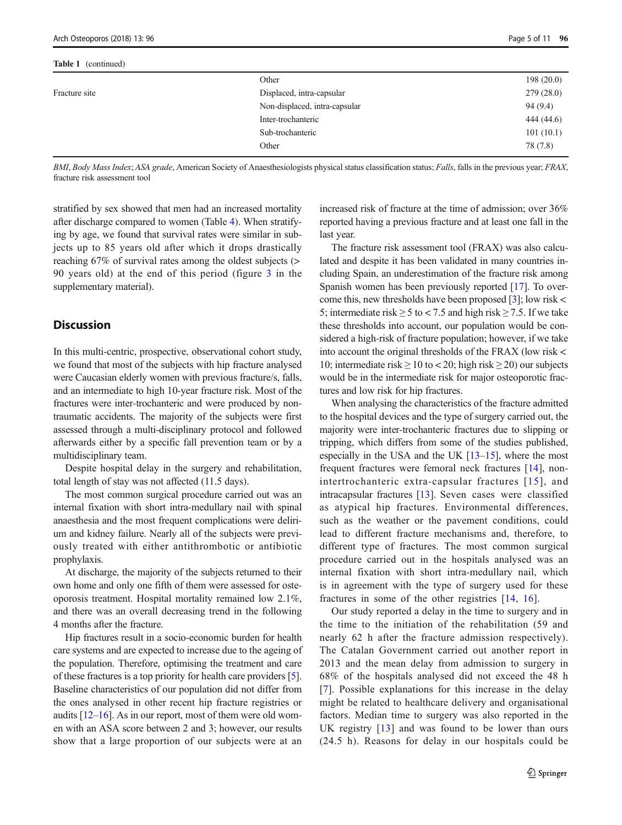BMI, Body Mass Index; ASA grade, American Society of Anaesthesiologists physical status classification status; Falls, falls in the previous year; FRAX, fracture risk assessment tool

stratified by sex showed that men had an increased mortality after discharge compared to women (Table [4\)](#page-6-0). When stratifying by age, we found that survival rates were similar in subjects up to 85 years old after which it drops drastically reaching 67% of survival rates among the oldest subjects (> 90 years old) at the end of this period (figure 3 in the supplementary material).

## **Discussion**

In this multi-centric, prospective, observational cohort study, we found that most of the subjects with hip fracture analysed were Caucasian elderly women with previous fracture/s, falls, and an intermediate to high 10-year fracture risk. Most of the fractures were inter-trochanteric and were produced by nontraumatic accidents. The majority of the subjects were first assessed through a multi-disciplinary protocol and followed afterwards either by a specific fall prevention team or by a multidisciplinary team.

Despite hospital delay in the surgery and rehabilitation, total length of stay was not affected (11.5 days).

The most common surgical procedure carried out was an internal fixation with short intra-medullary nail with spinal anaesthesia and the most frequent complications were delirium and kidney failure. Nearly all of the subjects were previously treated with either antithrombotic or antibiotic prophylaxis.

At discharge, the majority of the subjects returned to their own home and only one fifth of them were assessed for osteoporosis treatment. Hospital mortality remained low 2.1%, and there was an overall decreasing trend in the following 4 months after the fracture.

Hip fractures result in a socio-economic burden for health care systems and are expected to increase due to the ageing of the population. Therefore, optimising the treatment and care of these fractures is a top priority for health care providers [[5\]](#page-8-0). Baseline characteristics of our population did not differ from the ones analysed in other recent hip fracture registries or audits [\[12](#page-8-0)–[16\]](#page-8-0). As in our report, most of them were old women with an ASA score between 2 and 3; however, our results show that a large proportion of our subjects were at an

increased risk of fracture at the time of admission; over 36% reported having a previous fracture and at least one fall in the last year.

The fracture risk assessment tool (FRAX) was also calculated and despite it has been validated in many countries including Spain, an underestimation of the fracture risk among Spanish women has been previously reported [\[17\]](#page-8-0). To over-come this, new thresholds have been proposed [\[3](#page-8-0)]; low risk  $\lt$ 5; intermediate risk  $\geq$  5 to < 7.5 and high risk  $\geq$  7.5. If we take these thresholds into account, our population would be considered a high-risk of fracture population; however, if we take into account the original thresholds of the FRAX (low risk < 10; intermediate risk  $\geq 10$  to < 20; high risk  $\geq 20$ ) our subjects would be in the intermediate risk for major osteoporotic fractures and low risk for hip fractures.

When analysing the characteristics of the fracture admitted to the hospital devices and the type of surgery carried out, the majority were inter-trochanteric fractures due to slipping or tripping, which differs from some of the studies published, especially in the USA and the UK  $[13-15]$  $[13-15]$  $[13-15]$  $[13-15]$  $[13-15]$ , where the most frequent fractures were femoral neck fractures [[14](#page-8-0)], nonintertrochanteric extra-capsular fractures [[15\]](#page-8-0), and intracapsular fractures [\[13](#page-8-0)]. Seven cases were classified as atypical hip fractures. Environmental differences, such as the weather or the pavement conditions, could lead to different fracture mechanisms and, therefore, to different type of fractures. The most common surgical procedure carried out in the hospitals analysed was an internal fixation with short intra-medullary nail, which is in agreement with the type of surgery used for these fractures in some of the other registries [[14,](#page-8-0) [16](#page-8-0)].

Our study reported a delay in the time to surgery and in the time to the initiation of the rehabilitation (59 and nearly 62 h after the fracture admission respectively). The Catalan Government carried out another report in 2013 and the mean delay from admission to surgery in 68% of the hospitals analysed did not exceed the 48 h [\[7\]](#page-8-0). Possible explanations for this increase in the delay might be related to healthcare delivery and organisational factors. Median time to surgery was also reported in the UK registry [\[13\]](#page-8-0) and was found to be lower than ours (24.5 h). Reasons for delay in our hospitals could be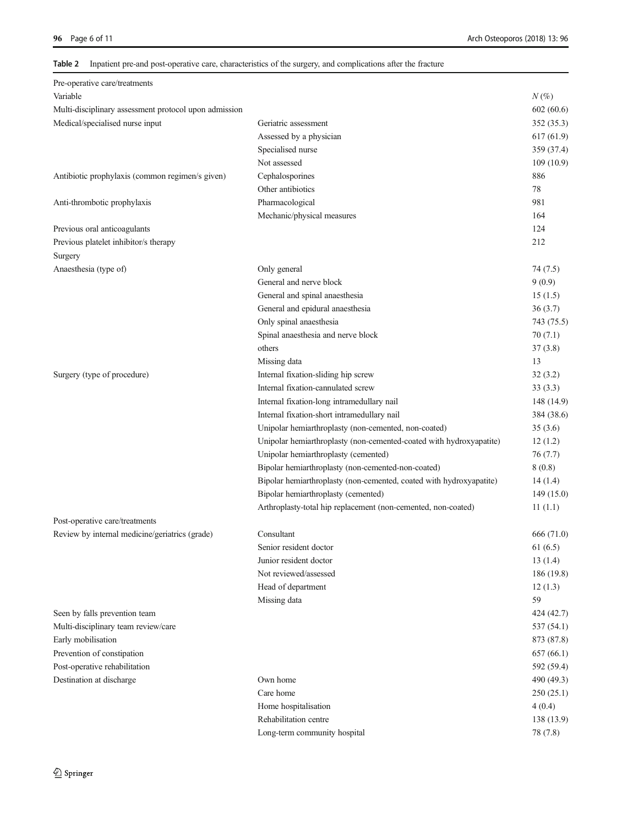## <span id="page-5-0"></span>Table 2 Inpatient pre-and post-operative care, characteristics of the surgery, and complications after the fracture

| Pre-operative care/treatments<br>Variable             |                                                                     | $N(\%)$       |
|-------------------------------------------------------|---------------------------------------------------------------------|---------------|
| Multi-disciplinary assessment protocol upon admission |                                                                     | 602(60.6)     |
| Medical/specialised nurse input                       | Geriatric assessment                                                | 352 (35.3)    |
|                                                       | Assessed by a physician                                             | 617 (61.9)    |
|                                                       | Specialised nurse                                                   | 359 (37.4)    |
|                                                       | Not assessed                                                        | 109(10.9)     |
| Antibiotic prophylaxis (common regimen/s given)       | Cephalosporines                                                     | 886           |
|                                                       | Other antibiotics                                                   | 78            |
| Anti-thrombotic prophylaxis                           | Pharmacological                                                     | 981           |
|                                                       | Mechanic/physical measures                                          | 164           |
| Previous oral anticoagulants                          |                                                                     | 124           |
| Previous platelet inhibitor/s therapy                 |                                                                     | 212           |
| Surgery                                               |                                                                     |               |
| Anaesthesia (type of)                                 | Only general                                                        | 74 (7.5)      |
|                                                       | General and nerve block                                             | 9(0.9)        |
|                                                       | General and spinal anaesthesia                                      | 15(1.5)       |
|                                                       | General and epidural anaesthesia                                    | 36(3.7)       |
|                                                       | Only spinal anaesthesia                                             | 743 (75.5)    |
|                                                       | Spinal anaesthesia and nerve block                                  | 70(7.1)       |
|                                                       | others                                                              | 37(3.8)       |
|                                                       | Missing data                                                        | 13            |
| Surgery (type of procedure)                           | Internal fixation-sliding hip screw                                 | 32(3.2)       |
|                                                       | Internal fixation-cannulated screw                                  | 33(3.3)       |
|                                                       | Internal fixation-long intramedullary nail                          | 148 (14.9)    |
|                                                       | Internal fixation-short intramedullary nail                         | 384 (38.6)    |
|                                                       | Unipolar hemiarthroplasty (non-cemented, non-coated)                | 35(3.6)       |
|                                                       | Unipolar hemiarthroplasty (non-cemented-coated with hydroxyapatite) | 12(1.2)       |
|                                                       | Unipolar hemiarthroplasty (cemented)                                | 76(7.7)       |
|                                                       | Bipolar hemiarthroplasty (non-cemented-non-coated)                  | 8(0.8)        |
|                                                       | Bipolar hemiarthroplasty (non-cemented, coated with hydroxyapatite) | 14(1.4)       |
|                                                       | Bipolar hemiarthroplasty (cemented)                                 | 149(15.0)     |
|                                                       | Arthroplasty-total hip replacement (non-cemented, non-coated)       | 11(1.1)       |
| Post-operative care/treatments                        |                                                                     |               |
| Review by internal medicine/geriatrics (grade)        | Consultant                                                          | 666 (71.0)    |
|                                                       | Senior resident doctor                                              | 61(6.5)       |
|                                                       | Junior resident doctor                                              | 13(1.4)       |
|                                                       | Not reviewed/assessed                                               | 186 (19.8)    |
|                                                       |                                                                     |               |
|                                                       | Head of department<br>Missing data                                  | 12(1.3)<br>59 |
|                                                       |                                                                     |               |
| Seen by falls prevention team                         |                                                                     | 424 (42.7)    |
| Multi-disciplinary team review/care                   |                                                                     | 537 (54.1)    |
| Early mobilisation<br>Prevention of constipation      |                                                                     | 873 (87.8)    |
| Post-operative rehabilitation                         |                                                                     | 657 (66.1)    |
|                                                       |                                                                     | 592 (59.4)    |
| Destination at discharge                              | Own home<br>Care home                                               | 490 (49.3)    |
|                                                       |                                                                     | 250(25.1)     |
|                                                       | Home hospitalisation                                                | 4(0.4)        |
|                                                       | Rehabilitation centre                                               | 138 (13.9)    |
|                                                       | Long-term community hospital                                        | 78 (7.8)      |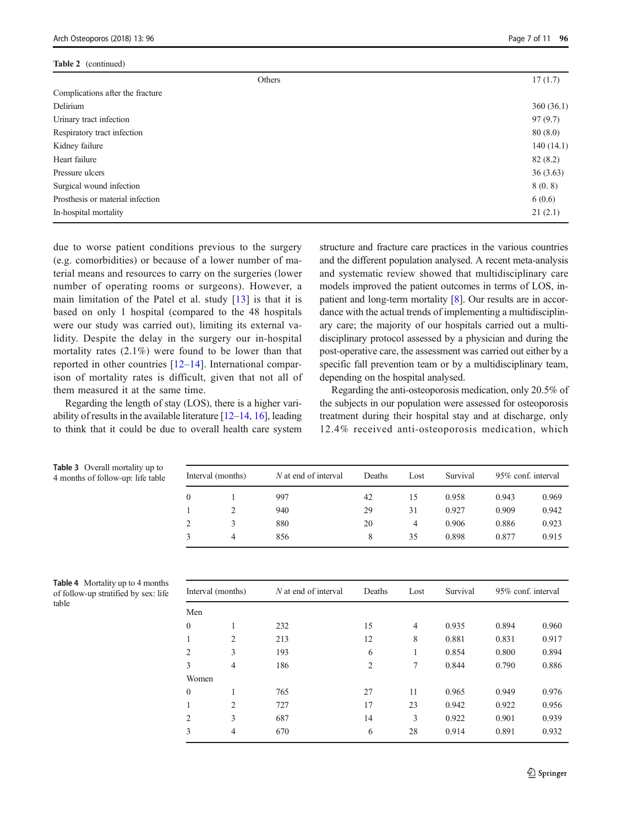<span id="page-6-0"></span>

| <b>Table 2</b> (continued)       |           |
|----------------------------------|-----------|
| Others                           | 17(1.7)   |
| Complications after the fracture |           |
| Delirium                         | 360(36.1) |
| Urinary tract infection          | 97(9.7)   |
| Respiratory tract infection      | 80(8.0)   |
| Kidney failure                   | 140(14.1) |
| Heart failure                    | 82(8.2)   |
| Pressure ulcers                  | 36(3.63)  |
| Surgical wound infection         | 8(0, 8)   |
| Prosthesis or material infection | 6(0.6)    |
| In-hospital mortality            | 21(2.1)   |

due to worse patient conditions previous to the surgery (e.g. comorbidities) or because of a lower number of material means and resources to carry on the surgeries (lower number of operating rooms or surgeons). However, a main limitation of the Patel et al. study [[13\]](#page-8-0) is that it is based on only 1 hospital (compared to the 48 hospitals were our study was carried out), limiting its external validity. Despite the delay in the surgery our in-hospital mortality rates (2.1%) were found to be lower than that reported in other countries [\[12](#page-8-0)–[14\]](#page-8-0). International comparison of mortality rates is difficult, given that not all of them measured it at the same time.

Regarding the length of stay (LOS), there is a higher variability of results in the available literature  $[12–14, 16]$  $[12–14, 16]$  $[12–14, 16]$  $[12–14, 16]$  $[12–14, 16]$  $[12–14, 16]$ , leading to think that it could be due to overall health care system structure and fracture care practices in the various countries and the different population analysed. A recent meta-analysis and systematic review showed that multidisciplinary care models improved the patient outcomes in terms of LOS, inpatient and long-term mortality [\[8](#page-8-0)]. Our results are in accordance with the actual trends of implementing a multidisciplinary care; the majority of our hospitals carried out a multidisciplinary protocol assessed by a physician and during the post-operative care, the assessment was carried out either by a specific fall prevention team or by a multidisciplinary team, depending on the hospital analysed.

Regarding the anti-osteoporosis medication, only 20.5% of the subjects in our population were assessed for osteoporosis treatment during their hospital stay and at discharge, only 12.4% received anti-osteoporosis medication, which

|   | Interval (months) | N at end of interval | Deaths | Lost | Survival | 95% conf. interval |       |
|---|-------------------|----------------------|--------|------|----------|--------------------|-------|
| 0 |                   | 997                  | 42     | 15   | 0.958    | 0.943              | 0.969 |
|   | $\mathfrak{D}$    | 940                  | 29     | 31   | 0.927    | 0.909              | 0.942 |
| 2 | 3                 | 880                  | 20     | 4    | 0.906    | 0.886              | 0.923 |
|   | 4                 | 856                  | 8      | 35   | 0.898    | 0.877              | 0.915 |

|       | Table 4 Mortality up to 4 months     |
|-------|--------------------------------------|
|       | of follow-up stratified by sex: life |
| table |                                      |

Table 3 Overall mortality up to 4 months of follow-up: life table

|                | Interval (months) | N at end of interval | Deaths         | Lost           | Survival | 95% conf. interval |       |
|----------------|-------------------|----------------------|----------------|----------------|----------|--------------------|-------|
| Men            |                   |                      |                |                |          |                    |       |
| $\mathbf{0}$   | 1                 | 232                  | 15             | $\overline{4}$ | 0.935    | 0.894              | 0.960 |
|                | 2                 | 213                  | 12             | 8              | 0.881    | 0.831              | 0.917 |
| $\overline{2}$ | 3                 | 193                  | 6              | 1              | 0.854    | 0.800              | 0.894 |
| 3              | $\overline{4}$    | 186                  | $\overline{2}$ | 7              | 0.844    | 0.790              | 0.886 |
| Women          |                   |                      |                |                |          |                    |       |
| $\theta$       | 1                 | 765                  | 27             | 11             | 0.965    | 0.949              | 0.976 |
|                | 2                 | 727                  | 17             | 23             | 0.942    | 0.922              | 0.956 |
| $\mathcal{L}$  | 3                 | 687                  | 14             | 3              | 0.922    | 0.901              | 0.939 |
| 3              | $\overline{4}$    | 670                  | 6              | 28             | 0.914    | 0.891              | 0.932 |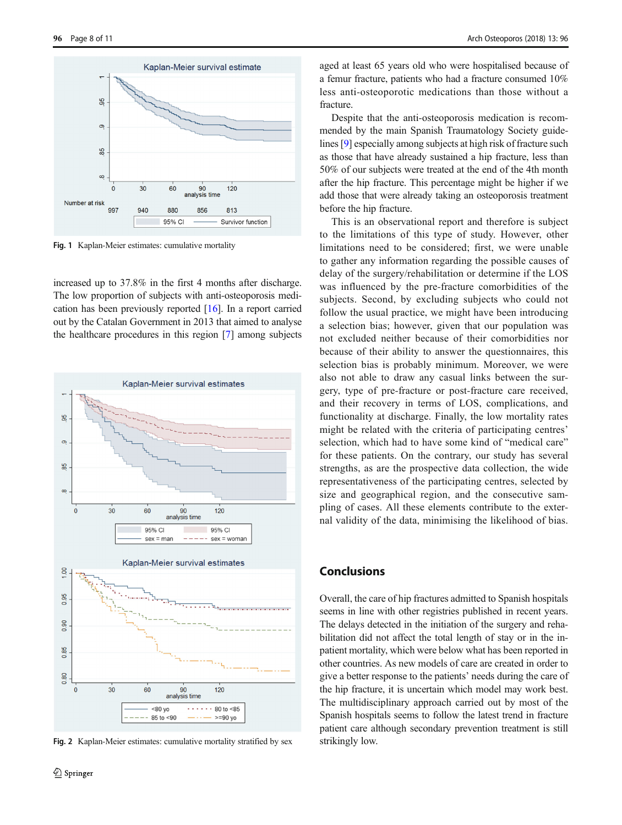<span id="page-7-0"></span>

Fig. 1 Kaplan-Meier estimates: cumulative mortality

increased up to 37.8% in the first 4 months after discharge. The low proportion of subjects with anti-osteoporosis medication has been previously reported [[16](#page-8-0)]. In a report carried out by the Catalan Government in 2013 that aimed to analyse the healthcare procedures in this region [\[7\]](#page-8-0) among subjects



Fig. 2 Kaplan-Meier estimates: cumulative mortality stratified by sex strikingly low.

aged at least 65 years old who were hospitalised because of a femur fracture, patients who had a fracture consumed 10% less anti-osteoporotic medications than those without a fracture.

Despite that the anti-osteoporosis medication is recommended by the main Spanish Traumatology Society guidelines [\[9](#page-8-0)] especially among subjects at high risk of fracture such as those that have already sustained a hip fracture, less than 50% of our subjects were treated at the end of the 4th month after the hip fracture. This percentage might be higher if we add those that were already taking an osteoporosis treatment before the hip fracture.

This is an observational report and therefore is subject to the limitations of this type of study. However, other limitations need to be considered; first, we were unable to gather any information regarding the possible causes of delay of the surgery/rehabilitation or determine if the LOS was influenced by the pre-fracture comorbidities of the subjects. Second, by excluding subjects who could not follow the usual practice, we might have been introducing a selection bias; however, given that our population was not excluded neither because of their comorbidities nor because of their ability to answer the questionnaires, this selection bias is probably minimum. Moreover, we were also not able to draw any casual links between the surgery, type of pre-fracture or post-fracture care received, and their recovery in terms of LOS, complications, and functionality at discharge. Finally, the low mortality rates might be related with the criteria of participating centres' selection, which had to have some kind of "medical care" for these patients. On the contrary, our study has several strengths, as are the prospective data collection, the wide representativeness of the participating centres, selected by size and geographical region, and the consecutive sampling of cases. All these elements contribute to the external validity of the data, minimising the likelihood of bias.

## Conclusions

Overall, the care of hip fractures admitted to Spanish hospitals seems in line with other registries published in recent years. The delays detected in the initiation of the surgery and rehabilitation did not affect the total length of stay or in the inpatient mortality, which were below what has been reported in other countries. As new models of care are created in order to give a better response to the patients' needs during the care of the hip fracture, it is uncertain which model may work best. The multidisciplinary approach carried out by most of the Spanish hospitals seems to follow the latest trend in fracture patient care although secondary prevention treatment is still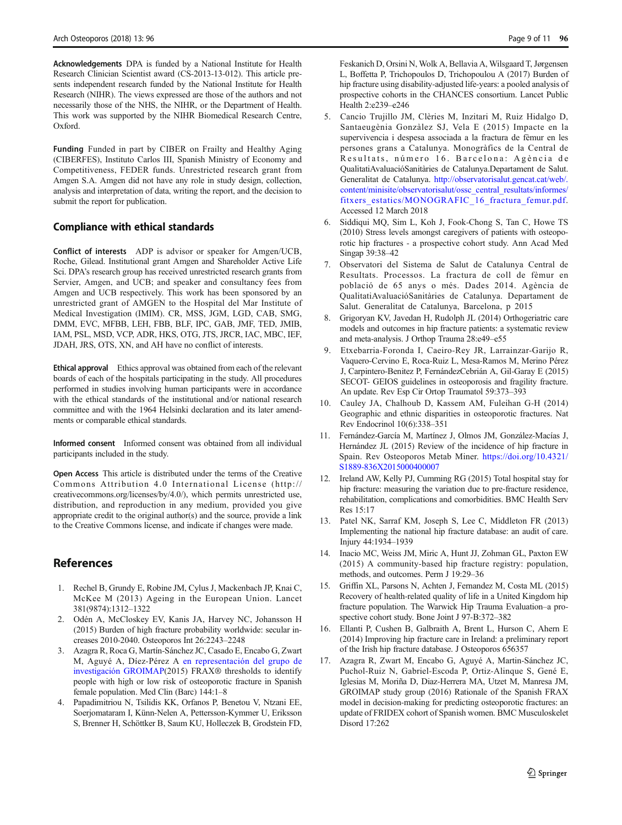<span id="page-8-0"></span>Acknowledgements DPA is funded by a National Institute for Health Research Clinician Scientist award (CS-2013-13-012). This article presents independent research funded by the National Institute for Health Research (NIHR). The views expressed are those of the authors and not necessarily those of the NHS, the NIHR, or the Department of Health. This work was supported by the NIHR Biomedical Research Centre, Oxford.

Funding Funded in part by CIBER on Frailty and Healthy Aging (CIBERFES), Instituto Carlos III, Spanish Ministry of Economy and Competitiveness, FEDER funds. Unrestricted research grant from Amgen S.A. Amgen did not have any role in study design, collection, analysis and interpretation of data, writing the report, and the decision to submit the report for publication.

### Compliance with ethical standards

Conflict of interests ADP is advisor or speaker for Amgen/UCB, Roche, Gilead. Institutional grant Amgen and Shareholder Active Life Sci. DPA's research group has received unrestricted research grants from Servier, Amgen, and UCB; and speaker and consultancy fees from Amgen and UCB respectively. This work has been sponsored by an unrestricted grant of AMGEN to the Hospital del Mar Institute of Medical Investigation (IMIM). CR, MSS, JGM, LGD, CAB, SMG, DMM, EVC, MFBB, LEH, FBB, BLF, IPC, GAB, JMF, TED, JMIB, IAM, PSL, MSD, VCP, ADR, HKS, OTG, JTS, JRCR, IAC, MBC, IEF, JDAH, JRS, OTS, XN, and AH have no conflict of interests.

Ethical approval Ethics approval was obtained from each of the relevant boards of each of the hospitals participating in the study. All procedures performed in studies involving human participants were in accordance with the ethical standards of the institutional and/or national research committee and with the 1964 Helsinki declaration and its later amendments or comparable ethical standards.

Informed consent Informed consent was obtained from all individual participants included in the study.

Open Access This article is distributed under the terms of the Creative Commons Attribution 4.0 International License (http:// creativecommons.org/licenses/by/4.0/), which permits unrestricted use, distribution, and reproduction in any medium, provided you give appropriate credit to the original author(s) and the source, provide a link to the Creative Commons license, and indicate if changes were made.

# References

- 1. Rechel B, Grundy E, Robine JM, Cylus J, Mackenbach JP, Knai C, McKee M (2013) Ageing in the European Union. Lancet 381(9874):1312–1322
- 2. Odén A, McCloskey EV, Kanis JA, Harvey NC, Johansson H (2015) Burden of high fracture probability worldwide: secular increases 2010-2040. Osteoporos Int 26:2243–2248
- 3. Azagra R, Roca G, Martín-Sánchez JC, Casado E, Encabo G, Zwart M, Aguyé A, Díez-Pérez A [en representación del grupo de](https://www.ncbi.nlm.nih.gov/pubmed/?term=en%20representaci%C3%B3n%20del%20grupo%20de%20investigaci%C3%B3n%20GROIMAP%5BCorporate%20Author%5D) [investigación GROIMAP](https://www.ncbi.nlm.nih.gov/pubmed/?term=en%20representaci%C3%B3n%20del%20grupo%20de%20investigaci%C3%B3n%20GROIMAP%5BCorporate%20Author%5D)(2015) FRAX® thresholds to identify people with high or low risk of osteoporotic fracture in Spanish female population. Med Clin (Barc) 144:1–8
- 4. Papadimitriou N, Tsilidis KK, Orfanos P, Benetou V, Ntzani EE, Soerjomataram I, Künn-Nelen A, Pettersson-Kymmer U, Eriksson S, Brenner H, Schöttker B, Saum KU, Holleczek B, Grodstein FD,

Feskanich D, Orsini N, Wolk A, Bellavia A, Wilsgaard T, Jørgensen L, Boffetta P, Trichopoulos D, Trichopoulou A (2017) Burden of hip fracture using disability-adjusted life-years: a pooled analysis of prospective cohorts in the CHANCES consortium. Lancet Public Health 2:e239–e246

- 5. Cancio Trujillo JM, Clèries M, Inzitari M, Ruiz Hidalgo D, Santaeugènia Gonzàlez SJ, Vela E (2015) Impacte en la supervivencia i despesa associada a la fractura de fèmur en les persones grans a Catalunya. Monogràfics de la Central de Resultats, número 16. Barcelona: Agència de QualitatiAvaluacióSanitàries de Catalunya.Departament de Salut. Generalitat de Catalunya. [http://observatorisalut.gencat.cat/web/.](http://observatorisalut.gencat.cat/web/.content/minisite/observatorisalut/ossc_central_resultats/informes/fitxers_estatics/MONOGRAFIC_16_fractura_femur.pdf) [content/minisite/observatorisalut/ossc\\_central\\_resultats/informes/](http://observatorisalut.gencat.cat/web/.content/minisite/observatorisalut/ossc_central_resultats/informes/fitxers_estatics/MONOGRAFIC_16_fractura_femur.pdf) [fitxers\\_estatics/MONOGRAFIC\\_16\\_fractura\\_femur.pdf](http://observatorisalut.gencat.cat/web/.content/minisite/observatorisalut/ossc_central_resultats/informes/fitxers_estatics/MONOGRAFIC_16_fractura_femur.pdf). Accessed 12 March 2018
- 6. Siddiqui MQ, Sim L, Koh J, Fook-Chong S, Tan C, Howe TS (2010) Stress levels amongst caregivers of patients with osteoporotic hip fractures - a prospective cohort study. Ann Acad Med Singap 39:38–42
- 7. Observatori del Sistema de Salut de Catalunya Central de Resultats. Processos. La fractura de coll de fèmur en població de 65 anys o més. Dades 2014. Agència de QualitatiAvaluacióSanitàries de Catalunya. Departament de Salut. Generalitat de Catalunya, Barcelona, p 2015
- 8. Grigoryan KV, Javedan H, Rudolph JL (2014) Orthogeriatric care models and outcomes in hip fracture patients: a systematic review and meta-analysis. J Orthop Trauma 28:e49–e55
- 9. Etxebarria-Foronda I, Caeiro-Rey JR, Larrainzar-Garijo R, Vaquero-Cervino E, Roca-Ruiz L, Mesa-Ramos M, Merino Pérez J, Carpintero-Benitez P, FernándezCebrián A, Gil-Garay E (2015) SECOT- GEIOS guidelines in osteoporosis and fragility fracture. An update. Rev Esp Cir Ortop Traumatol 59:373–393
- 10. Cauley JA, Chalhoub D, Kassem AM, Fuleihan G-H (2014) Geographic and ethnic disparities in osteoporotic fractures. Nat Rev Endocrinol 10(6):338–351
- 11. Fernández-García M, Martínez J, Olmos JM, González-Macías J, Hernández JL (2015) Review of the incidence of hip fracture in Spain. Rev Osteoporos Metab Miner. [https://doi.org/10.4321/](https://doi.org/10.4321/S1889-836X2015000400007) [S1889-836X2015000400007](https://doi.org/10.4321/S1889-836X2015000400007)
- 12. Ireland AW, Kelly PJ, Cumming RG (2015) Total hospital stay for hip fracture: measuring the variation due to pre-fracture residence, rehabilitation, complications and comorbidities. BMC Health Serv Res 15:17
- 13. Patel NK, Sarraf KM, Joseph S, Lee C, Middleton FR (2013) Implementing the national hip fracture database: an audit of care. Injury 44:1934–1939
- 14. Inacio MC, Weiss JM, Miric A, Hunt JJ, Zohman GL, Paxton EW (2015) A community-based hip fracture registry: population, methods, and outcomes. Perm J 19:29–36
- 15. Griffin XL, Parsons N, Achten J, Fernandez M, Costa ML (2015) Recovery of health-related quality of life in a United Kingdom hip fracture population. The Warwick Hip Trauma Evaluation–a prospective cohort study. Bone Joint J 97-B:372–382
- 16. Ellanti P, Cushen B, Galbraith A, Brent L, Hurson C, Ahern E (2014) Improving hip fracture care in Ireland: a preliminary report of the Irish hip fracture database. J Osteoporos 656357
- 17. Azagra R, Zwart M, Encabo G, Aguyé A, Martin-Sánchez JC, Puchol-Ruiz N, Gabriel-Escoda P, Ortiz-Alinque S, Gené E, Iglesias M, Moriña D, Diaz-Herrera MA, Utzet M, Manresa JM, GROIMAP study group (2016) Rationale of the Spanish FRAX model in decision-making for predicting osteoporotic fractures: an update of FRIDEX cohort of Spanish women. BMC Musculoskelet Disord 17:262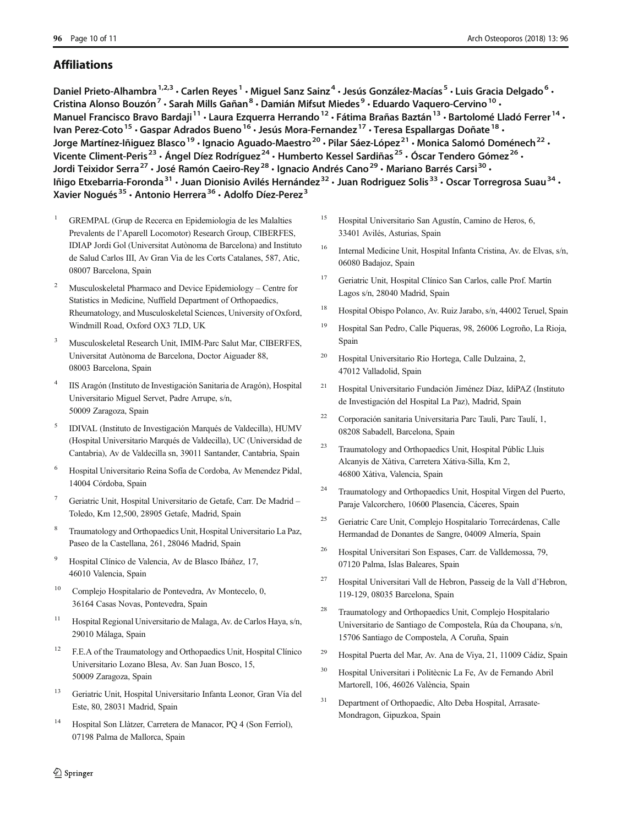# **Affiliations**

Daniel Prieto-Alhambra<sup>1,2,3</sup> • Carlen Reyes<sup>1</sup> • Miguel Sanz Sainz<sup>4</sup> • Jesús González-Macías<sup>5</sup> • Luis Gracia Delgado<sup>6</sup> • Cristina Alonso Bouzón<sup>7</sup> • Sarah Mills Gañan<sup>8</sup> • Damián Mifsut Miedes<sup>9</sup> • Eduardo Vaquero-Cervino<sup>10</sup> • Manuel Francisco Bravo Bardaji<sup>11</sup> · Laura Ezquerra Herrando<sup>12</sup> · Fátima Brañas Baztán<sup>13</sup> · Bartolomé Lladó Ferrer<sup>14</sup> · Ivan Perez-Coto<sup>15</sup> • Gaspar Adrados Bueno<sup>16</sup> • Jesús Mora-Fernandez<sup>17</sup> • Teresa Espallargas Doñate<sup>18</sup> • Jorge Martínez-Iñiguez Blasco<sup>19</sup> · Ignacio Aguado-Maestro<sup>20</sup> · Pilar Sáez-López<sup>21</sup> · Monica Salomó Doménech<sup>22</sup> · Vicente Climent-Peris<sup>23</sup> · Ángel Díez Rodríguez<sup>24</sup> · Humberto Kessel Sardiñas<sup>25</sup> · Óscar Tendero Gómez<sup>26</sup> · Jordi Teixidor Serra<sup>27</sup> • José Ramón Caeiro-Rey<sup>28</sup> • Ignacio Andrés Cano<sup>29</sup> • Mariano Barrés Carsi<sup>30</sup> • Iñigo Etxebarria-Foronda<sup>31</sup> · Juan Dionisio Avilés Hernández<sup>32</sup> · Juan Rodriguez Solis<sup>33</sup> · Oscar Torregrosa Suau<sup>34</sup> · Xavier Nogués<sup>35</sup> · Antonio Herrera<sup>36</sup> · Adolfo Díez-Perez<sup>3</sup>

- <sup>1</sup> GREMPAL (Grup de Recerca en Epidemiologia de les Malalties Prevalents de l'Aparell Locomotor) Research Group, CIBERFES, IDIAP Jordi Gol (Universitat Autònoma de Barcelona) and Instituto de Salud Carlos III, Av Gran Via de les Corts Catalanes, 587, Atic, 08007 Barcelona, Spain
- <sup>2</sup> Musculoskeletal Pharmaco and Device Epidemiology Centre for Statistics in Medicine, Nuffield Department of Orthopaedics, Rheumatology, and Musculoskeletal Sciences, University of Oxford, Windmill Road, Oxford OX3 7LD, UK
- <sup>3</sup> Musculoskeletal Research Unit, IMIM-Parc Salut Mar, CIBERFES, Universitat Autònoma de Barcelona, Doctor Aiguader 88, 08003 Barcelona, Spain
- <sup>4</sup> IIS Aragón (Instituto de Investigación Sanitaria de Aragón), Hospital Universitario Miguel Servet, Padre Arrupe, s/n, 50009 Zaragoza, Spain
- <sup>5</sup> IDIVAL (Instituto de Investigación Marqués de Valdecilla), HUMV (Hospital Universitario Marqués de Valdecilla), UC (Universidad de Cantabria), Av de Valdecilla sn, 39011 Santander, Cantabria, Spain
- <sup>6</sup> Hospital Universitario Reina Sofía de Cordoba, Av Menendez Pidal, 14004 Córdoba, Spain
- <sup>7</sup> Geriatric Unit, Hospital Universitario de Getafe, Carr. De Madrid Toledo, Km 12,500, 28905 Getafe, Madrid, Spain
- <sup>8</sup> Traumatology and Orthopaedics Unit, Hospital Universitario La Paz, Paseo de la Castellana, 261, 28046 Madrid, Spain
- <sup>9</sup> Hospital Clínico de Valencia, Av de Blasco Ibáñez, 17, 46010 Valencia, Spain
- <sup>10</sup> Complejo Hospitalario de Pontevedra, Av Montecelo, 0, 36164 Casas Novas, Pontevedra, Spain
- <sup>11</sup> Hospital Regional Universitario de Malaga, Av. de Carlos Haya, s/n, 29010 Málaga, Spain
- <sup>12</sup> F.E.A of the Traumatology and Orthopaedics Unit, Hospital Clínico Universitario Lozano Blesa, Av. San Juan Bosco, 15, 50009 Zaragoza, Spain
- <sup>13</sup> Geriatric Unit, Hospital Universitario Infanta Leonor, Gran Vía del Este, 80, 28031 Madrid, Spain
- <sup>14</sup> Hospital Son Llàtzer, Carretera de Manacor, PQ 4 (Son Ferriol), 07198 Palma de Mallorca, Spain
- <sup>15</sup> Hospital Universitario San Agustín, Camino de Heros, 6, 33401 Avilés, Asturias, Spain
- <sup>16</sup> Internal Medicine Unit, Hospital Infanta Cristina, Av. de Elvas, s/n, 06080 Badajoz, Spain
- <sup>17</sup> Geriatric Unit, Hospital Clínico San Carlos, calle Prof. Martín Lagos s/n, 28040 Madrid, Spain
- <sup>18</sup> Hospital Obispo Polanco, Av. Ruiz Jarabo, s/n, 44002 Teruel, Spain
- <sup>19</sup> Hospital San Pedro, Calle Piqueras, 98, 26006 Logroño, La Rioja, Spain
- <sup>20</sup> Hospital Universitario Rio Hortega, Calle Dulzaina, 2, 47012 Valladolid, Spain
- <sup>21</sup> Hospital Universitario Fundación Jiménez Díaz, IdiPAZ (Instituto de Investigación del Hospital La Paz), Madrid, Spain
- <sup>22</sup> Corporación sanitaria Universitaria Parc Tauli, Parc Taulí, 1, 08208 Sabadell, Barcelona, Spain
- <sup>23</sup> Traumatology and Orthopaedics Unit, Hospital Públic Lluis Alcanyis de Xàtiva, Carretera Xátiva-Silla, Km 2, 46800 Xàtiva, Valencia, Spain
- <sup>24</sup> Traumatology and Orthopaedics Unit, Hospital Virgen del Puerto, Paraje Valcorchero, 10600 Plasencia, Cáceres, Spain
- <sup>25</sup> Geriatric Care Unit, Complejo Hospitalario Torrecárdenas, Calle Hermandad de Donantes de Sangre, 04009 Almería, Spain
- <sup>26</sup> Hospital Universitari Son Espases, Carr. de Valldemossa, 79, 07120 Palma, Islas Baleares, Spain
- <sup>27</sup> Hospital Universitari Vall de Hebron, Passeig de la Vall d'Hebron, 119-129, 08035 Barcelona, Spain
- <sup>28</sup> Traumatology and Orthopaedics Unit, Complejo Hospitalario Universitario de Santiago de Compostela, Rúa da Choupana, s/n, 15706 Santiago de Compostela, A Coruña, Spain
- <sup>29</sup> Hospital Puerta del Mar, Av. Ana de Viya, 21, 11009 Cádiz, Spain
- <sup>30</sup> Hospital Universitari i Politècnic La Fe, Av de Fernando Abril Martorell, 106, 46026 València, Spain
- <sup>31</sup> Department of Orthopaedic, Alto Deba Hospital, Arrasate-Mondragon, Gipuzkoa, Spain